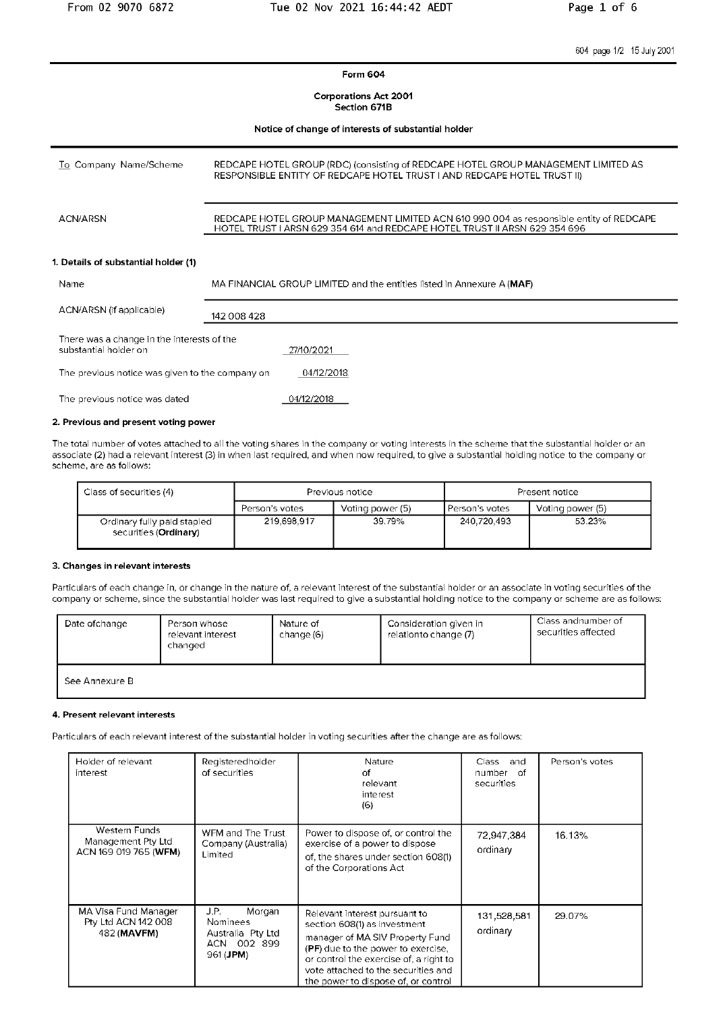604 page 1/2 15 July 2001

Form 604

**Corporations Act 2001** Section 671B

Notice of change of interests of substantial holder

| To Company Name/Scheme | REDCAPE HOTEL GROUP (RDC) (consisting of REDCAPE HOTEL GROUP MANAGEMENT LIMITED AS<br>RESPONSIBLE ENTITY OF REDCAPE HOTEL TRUST I AND REDCAPE HOTEL TRUST II)         |
|------------------------|-----------------------------------------------------------------------------------------------------------------------------------------------------------------------|
| ACN/ARSN               | REDCAPE HOTEL GROUP MANAGEMENT LIMITED ACN 610 990 004 as responsible entity of REDCAPE<br>HOTEL TRUST I ARSN 629 354 614 and REDCAPE HOTEL TRUST II ARSN 629 354 696 |

#### 1. Details of substantial holder (1)

| Name                                                                | MA FINANCIAL GROUP LIMITED and the entities listed in Annexure A (MAF) |
|---------------------------------------------------------------------|------------------------------------------------------------------------|
| ACN/ARSN (if applicable)                                            | 142 008 428                                                            |
| There was a change in the interests of the<br>substantial holder on | 27/10/2021                                                             |
| The previous notice was given to the company on                     | 04/12/2018                                                             |
| The previous notice was dated                                       | 04/12/2018                                                             |

#### 2. Previous and present voting power

The total number of votes attached to all the voting shares in the company or voting interests in the scheme that the substantial holder or an associate (2) had a relevant interest (3) in when last required, and when now required, to give a substantial holding notice to the company or scheme, are as follows:

| Class of securities (4)                                       | Previous notice                    |        |                  | Present notice   |
|---------------------------------------------------------------|------------------------------------|--------|------------------|------------------|
|                                                               | Person's votes<br>Voting power (5) |        | I Person's votes | Voting power (5) |
| Ordinary fully paid stapled<br>securities ( <b>Ordinary</b> ) | 219.698.917                        | 39.79% | 240.720.493      | 53.23%           |

#### 3. Changes in relevant interests

Particulars of each change in, or change in the nature of, a relevant interest of the substantial holder or an associate in voting securities of the company or scheme, since the substantial holder was last required to give a substantial holding notice to the company or scheme are as follows:

| Date of change | Person whose<br>relevant interest<br>changed | Nature of<br>change (6) | Consideration given in<br>relationto change (7) | Class and number of<br>securities affected |
|----------------|----------------------------------------------|-------------------------|-------------------------------------------------|--------------------------------------------|
| See Annexure B |                                              |                         |                                                 |                                            |

#### 4. Present relevant interests

Particulars of each relevant interest of the substantial holder in voting securities after the change are as follows:

| Holder of relevant<br>interest                                      | Registeredholder<br>of securities                                                    | Nature<br>οf<br>relevant<br>interest<br>(6)                                                                                                                                                                                                                           | Class and<br>number of<br>securities | Person's votes |
|---------------------------------------------------------------------|--------------------------------------------------------------------------------------|-----------------------------------------------------------------------------------------------------------------------------------------------------------------------------------------------------------------------------------------------------------------------|--------------------------------------|----------------|
| <b>Western Funds</b><br>Management Pty Ltd<br>ACN 169 019 765 (WFM) | WFM and The Trust<br>Company (Australia)<br>Limited                                  | Power to dispose of, or control the<br>exercise of a power to dispose<br>of, the shares under section 608(1)<br>of the Corporations Act                                                                                                                               | 72,947,384<br>ordinary               | 16.13%         |
| MA Visa Fund Manager<br>Pty Ltd ACN 142 008<br>482 (MAVFM)          | J.P.<br>Morgan<br>Nominees<br>Australia Pty Ltd<br>ACN 002 899<br>961 ( <b>JPM</b> ) | Relevant interest pursuant to<br>section 608(1) as investment<br>manager of MA SIV Property Fund<br><b>(PF)</b> due to the power to exercise,<br>or control the exercise of, a right to<br>vote attached to the securities and<br>the power to dispose of, or control | 131,528,581<br>ordinary              | 29.07%         |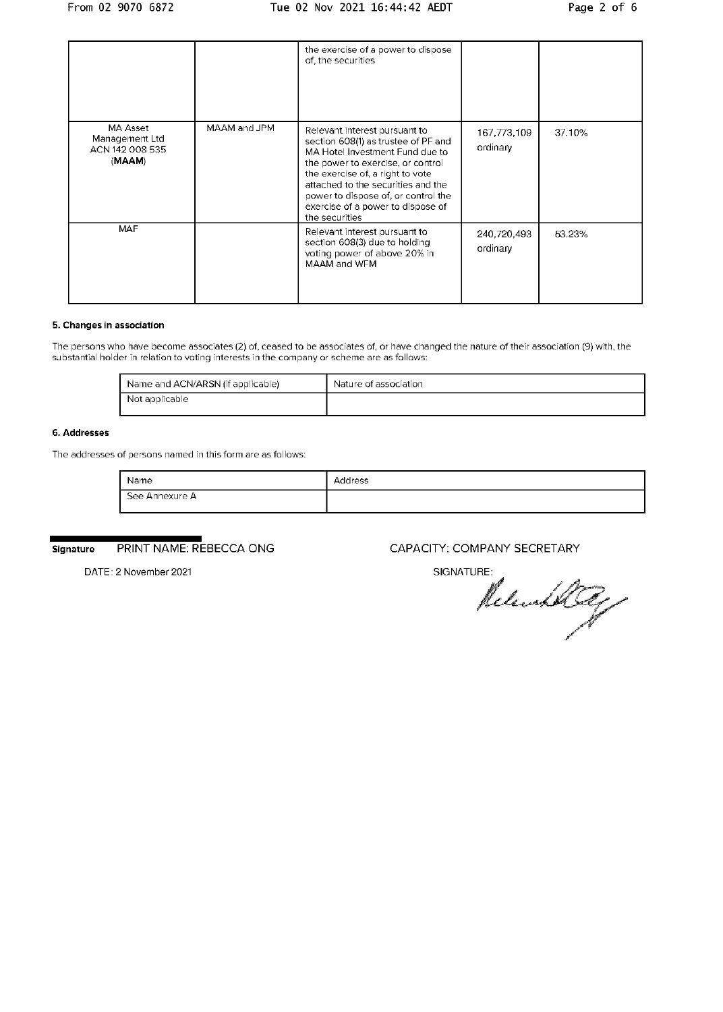|                                                                |              | the exercise of a power to dispose<br>of, the securities                                                                                                                                                                                                                                                             |                         |        |
|----------------------------------------------------------------|--------------|----------------------------------------------------------------------------------------------------------------------------------------------------------------------------------------------------------------------------------------------------------------------------------------------------------------------|-------------------------|--------|
| <b>MA Asset</b><br>Management Ltd<br>ACN 142 008 535<br>(MAAM) | MAAM and JPM | Relevant interest pursuant to<br>section 608(1) as trustee of PF and<br>MA Hotel Investment Fund due to<br>the power to exercise, or control<br>the exercise of, a right to vote<br>attached to the securities and the<br>power to dispose of, or control the<br>exercise of a power to dispose of<br>the securities | 167,773,109<br>ordinary | 37.10% |
| <b>MAF</b>                                                     |              | Relevant interest pursuant to<br>section 608(3) due to holding<br>voting power of above 20% in<br>MAAM and WFM                                                                                                                                                                                                       | 240,720,493<br>ordinary | 53.23% |

#### 5. Changes in association

The persons who have become associates (2) of, ceased to be associates of, or have changed the nature of their association (9) with, the substantial holder in relation to voting interests in the company or scheme are as follows:

| Name and ACN/ARSN (if applicable) | Nature of association |
|-----------------------------------|-----------------------|
| Not applicable                    |                       |

#### 6. Addresses

The addresses of persons named in this form are as follows:

| Name           | Address |
|----------------|---------|
| See Annexure A |         |

PRINT NAME: REBECCA ONG Signature

CAPACITY: COMPANY SECRETARY

DATE: 2 November 2021

# SIGNATURE:

Returnholted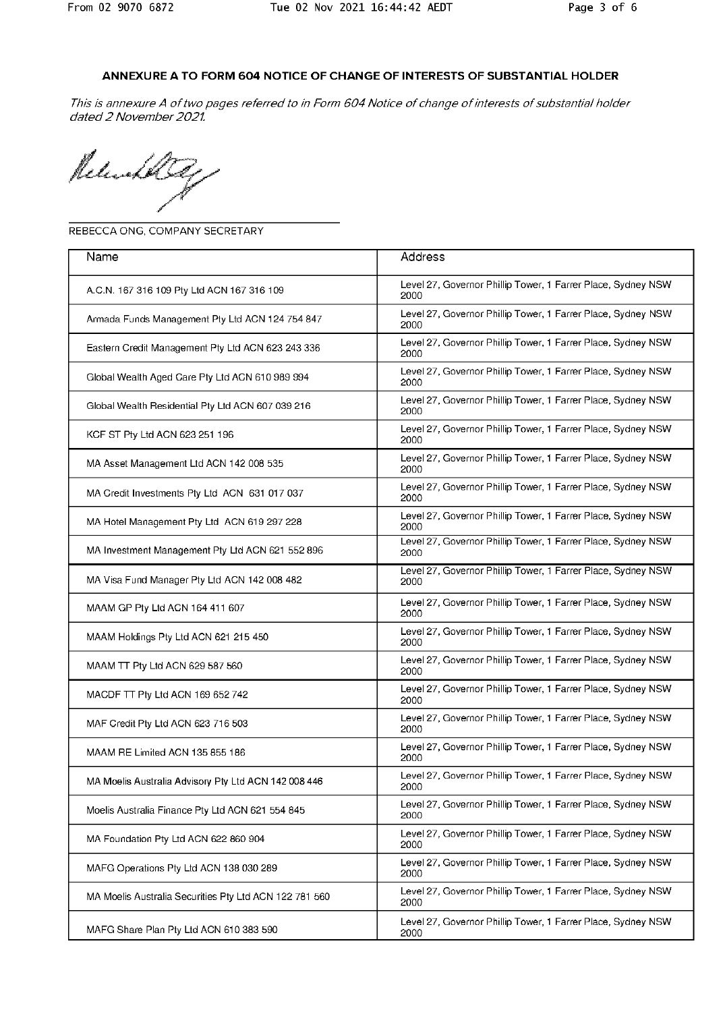### ANNEXURE A TO FORM 604 NOTICE OF CHANGE OF INTERESTS OF SUBSTANTIAL HOLDER

This is annexure A of two pages referred to in Form 604 Notice of change of interests of substantial holder dated 2 November 2021.

Release

REBECCA ONG, COMPANY SECRETARY

| Name                                                   | Address                                                              |
|--------------------------------------------------------|----------------------------------------------------------------------|
| A.C.N. 167 316 109 Pty Ltd ACN 167 316 109             | Level 27, Governor Phillip Tower, 1 Farrer Place, Sydney NSW<br>2000 |
| Armada Funds Management Pty Ltd ACN 124 754 847        | Level 27, Governor Phillip Tower, 1 Farrer Place, Sydney NSW<br>2000 |
| Eastern Credit Management Pty Ltd ACN 623 243 336      | Level 27, Governor Phillip Tower, 1 Farrer Place, Sydney NSW<br>2000 |
| Global Wealth Aged Care Pty Ltd ACN 610 989 994        | Level 27, Governor Phillip Tower, 1 Farrer Place, Sydney NSW<br>2000 |
| Global Wealth Residential Pty Ltd ACN 607 039 216      | Level 27, Governor Phillip Tower, 1 Farrer Place, Sydney NSW<br>2000 |
| KCF ST Pty Ltd ACN 623 251 196                         | Level 27, Governor Phillip Tower, 1 Farrer Place, Sydney NSW<br>2000 |
| MA Asset Management Ltd ACN 142 008 535                | Level 27, Governor Phillip Tower, 1 Farrer Place, Sydney NSW<br>2000 |
| MA Credit Investments Pty Ltd ACN 631 017 037          | Level 27, Governor Phillip Tower, 1 Farrer Place, Sydney NSW<br>2000 |
| MA Hotel Management Pty Ltd ACN 619 297 228            | Level 27, Governor Phillip Tower, 1 Farrer Place, Sydney NSW<br>2000 |
| MA Investment Management Pty Ltd ACN 621 552 896       | Level 27, Governor Phillip Tower, 1 Farrer Place, Sydney NSW<br>2000 |
| MA Visa Fund Manager Pty Ltd ACN 142 008 482           | Level 27, Governor Phillip Tower, 1 Farrer Place, Sydney NSW<br>2000 |
| MAAM GP Pty Ltd ACN 164 411 607                        | Level 27, Governor Phillip Tower, 1 Farrer Place, Sydney NSW<br>2000 |
| MAAM Holdings Pty Ltd ACN 621 215 450                  | Level 27, Governor Phillip Tower, 1 Farrer Place, Sydney NSW<br>2000 |
| MAAM TT Pty Ltd ACN 629 587 560                        | Level 27, Governor Phillip Tower, 1 Farrer Place, Sydney NSW<br>2000 |
| MACDF TT Pty Ltd ACN 169 652 742                       | Level 27, Governor Phillip Tower, 1 Farrer Place, Sydney NSW<br>2000 |
| MAF Credit Pty Ltd ACN 623 716 503                     | Level 27, Governor Phillip Tower, 1 Farrer Place, Sydney NSW<br>2000 |
| MAAM RE Limited ACN 135 855 186                        | Level 27, Governor Phillip Tower, 1 Farrer Place, Sydney NSW<br>2000 |
| MA Moelis Australia Advisory Pty Ltd ACN 142 008 446   | Level 27, Governor Phillip Tower, 1 Farrer Place, Sydney NSW<br>2000 |
| Moelis Australia Finance Pty Ltd ACN 621 554 845       | Level 27, Governor Phillip Tower, 1 Farrer Place, Sydney NSW<br>2000 |
| MA Foundation Pty Ltd ACN 622 860 904                  | Level 27, Governor Phillip Tower, 1 Farrer Place, Sydney NSW<br>2000 |
| MAFG Operations Pty Ltd ACN 138 030 289                | Level 27, Governor Phillip Tower, 1 Farrer Place, Sydney NSW<br>2000 |
| MA Moelis Australia Securities Pty Ltd ACN 122 781 560 | Level 27, Governor Phillip Tower, 1 Farrer Place, Sydney NSW<br>2000 |
| MAFG Share Plan Pty Ltd ACN 610 383 590                | Level 27, Governor Phillip Tower, 1 Farrer Place, Sydney NSW<br>2000 |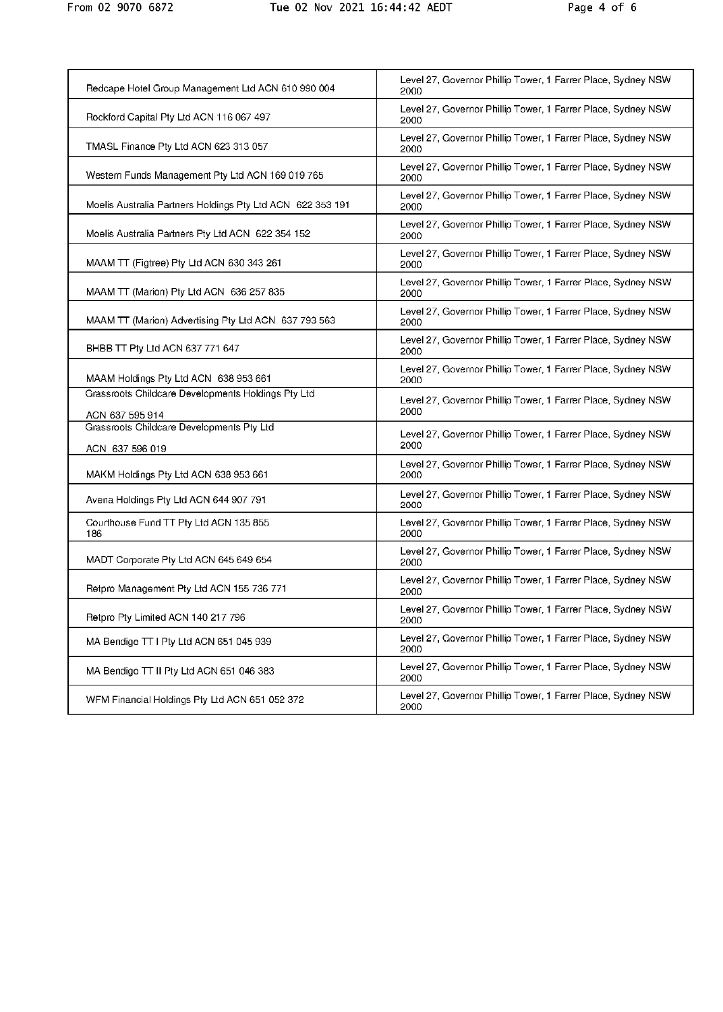| Redcape Hotel Group Management Ltd ACN 610 990 004                    | Level 27, Governor Phillip Tower, 1 Farrer Place, Sydney NSW<br>2000 |
|-----------------------------------------------------------------------|----------------------------------------------------------------------|
| Rockford Capital Pty Ltd ACN 116 067 497                              | Level 27, Governor Phillip Tower, 1 Farrer Place, Sydney NSW<br>2000 |
| TMASL Finance Pty Ltd ACN 623 313 057                                 | Level 27, Governor Phillip Tower, 1 Farrer Place, Sydney NSW<br>2000 |
| Western Funds Management Pty Ltd ACN 169 019 765                      | Level 27, Governor Phillip Tower, 1 Farrer Place, Sydney NSW<br>2000 |
| Moelis Australia Partners Holdings Pty Ltd ACN 622 353 191            | Level 27, Governor Phillip Tower, 1 Farrer Place, Sydney NSW<br>2000 |
| Moelis Australia Partners Pty Ltd ACN 622 354 152                     | Level 27, Governor Phillip Tower, 1 Farrer Place, Sydney NSW<br>2000 |
| MAAM TT (Figtree) Pty Ltd ACN 630 343 261                             | Level 27, Governor Phillip Tower, 1 Farrer Place, Sydney NSW<br>2000 |
| MAAM TT (Marion) Pty Ltd ACN 636 257 835                              | Level 27, Governor Phillip Tower, 1 Farrer Place, Sydney NSW<br>2000 |
| MAAM TT (Marion) Advertising Pty Ltd ACN 637 793 563                  | Level 27, Governor Phillip Tower, 1 Farrer Place, Sydney NSW<br>2000 |
| BHBB TT Pty Ltd ACN 637 771 647                                       | Level 27, Governor Phillip Tower, 1 Farrer Place, Sydney NSW<br>2000 |
| MAAM Holdings Pty Ltd ACN 638 953 661                                 | Level 27, Governor Phillip Tower, 1 Farrer Place, Sydney NSW<br>2000 |
| Grassroots Childcare Developments Holdings Pty Ltd<br>ACN 637 595 914 | Level 27, Governor Phillip Tower, 1 Farrer Place, Sydney NSW<br>2000 |
| Grassroots Childcare Developments Pty Ltd                             | Level 27, Governor Phillip Tower, 1 Farrer Place, Sydney NSW<br>2000 |
| ACN 637 596 019                                                       | Level 27, Governor Phillip Tower, 1 Farrer Place, Sydney NSW         |
| MAKM Holdings Pty Ltd ACN 638 953 661                                 | 2000                                                                 |
| Avena Holdings Pty Ltd ACN 644 907 791                                | Level 27, Governor Phillip Tower, 1 Farrer Place, Sydney NSW<br>2000 |
| Courthouse Fund TT Pty Ltd ACN 135 855<br>186                         | Level 27, Governor Phillip Tower, 1 Farrer Place, Sydney NSW<br>2000 |
| MADT Corporate Pty Ltd ACN 645 649 654                                | Level 27, Governor Phillip Tower, 1 Farrer Place, Sydney NSW<br>2000 |
| Retpro Management Pty Ltd ACN 155 736 771                             | Level 27, Governor Phillip Tower, 1 Farrer Place, Sydney NSW<br>2000 |
| Retpro Pty Limited ACN 140 217 796                                    | Level 27, Governor Phillip Tower, 1 Farrer Place, Sydney NSW<br>2000 |
| MA Bendigo TT I Pty Ltd ACN 651 045 939                               | Level 27, Governor Phillip Tower, 1 Farrer Place, Sydney NSW<br>2000 |
| MA Bendigo TT II Pty Ltd ACN 651 046 383                              | Level 27, Governor Phillip Tower, 1 Farrer Place, Sydney NSW<br>2000 |
| WFM Financial Holdings Pty Ltd ACN 651 052 372                        | Level 27, Governor Phillip Tower, 1 Farrer Place, Sydney NSW<br>2000 |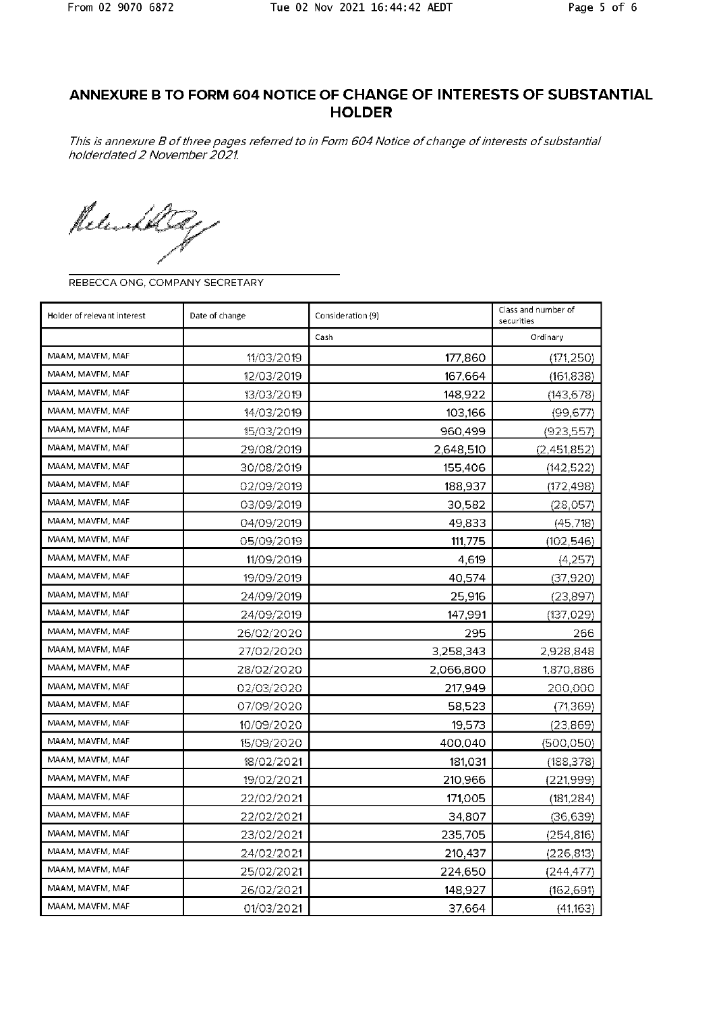## ANNEXURE B TO FORM 604 NOTICE OF CHANGE OF INTERESTS OF SUBSTANTIAL **HOLDER**

This is annexure B of three pages referred to in Form 604 Notice of change of interests of substantial holderdated 2 November 2021.

Releathly

REBECCA ONG, COMPANY SECRETARY

| Holder of relevant interest<br>Date of change |            | Consideration (9) | Class and number of<br>securities |
|-----------------------------------------------|------------|-------------------|-----------------------------------|
|                                               |            | Cash              | Ordinary                          |
| MAAM, MAVFM, MAF                              | 11/03/2019 | 177,860           | (171, 250)                        |
| MAAM, MAVFM, MAF                              | 12/03/2019 | 167,664           | (161, 838)                        |
| MAAM, MAVFM, MAF                              | 13/03/2019 | 148,922           | (143, 678)                        |
| MAAM, MAVFM, MAF                              | 14/03/2019 | 103,166           | (99, 677)                         |
| MAAM, MAVFM, MAF                              | 15/03/2019 | 960,499           | (923,557)                         |
| MAAM, MAVFM, MAF                              | 29/08/2019 | 2,648,510         | (2,451,852)                       |
| MAAM, MAVFM, MAF                              | 30/08/2019 | 155,406           | (142, 522)                        |
| MAAM, MAVFM, MAF                              | 02/09/2019 | 188,937           | (172, 498)                        |
| MAAM, MAVFM, MAF                              | 03/09/2019 | 30,582            | (28,057)                          |
| MAAM, MAVFM, MAF                              | 04/09/2019 | 49,833            | (45, 718)                         |
| MAAM, MAVFM, MAF                              | 05/09/2019 | 111,775           | (102, 546)                        |
| MAAM, MAVFM, MAF                              | 11/09/2019 | 4,619             | (4,257)                           |
| MAAM, MAVFM, MAF                              | 19/09/2019 | 40,574            | (37, 920)                         |
| MAAM, MAVFM, MAF                              | 24/09/2019 | 25,916            | (23,897)                          |
| MAAM, MAVFM, MAF                              | 24/09/2019 | 147,991           | (137, 029)                        |
| MAAM, MAVFM, MAF                              | 26/02/2020 | 295               | 266                               |
| MAAM, MAVFM, MAF                              | 27/02/2020 | 3,258,343         | 2,928,848                         |
| MAAM, MAVFM, MAF                              | 28/02/2020 | 2,066,800         | 1,870,886                         |
| MAAM, MAVFM, MAF                              | 02/03/2020 | 217,949           | 200,000                           |
| MAAM, MAVFM, MAF                              | 07/09/2020 | 58,523            | (71, 369)                         |
| MAAM, MAVFM, MAF                              | 10/09/2020 | 19,573            | (23,869)                          |
| MAAM, MAVFM, MAF                              | 15/09/2020 | 400,040           | (500, 050)                        |
| MAAM, MAVFM, MAF                              | 18/02/2021 | 181,031           | (188, 378)                        |
| MAAM, MAVFM, MAF                              | 19/02/2021 | 210,966           | (221, 999)                        |
| MAAM, MAVFM, MAF                              | 22/02/2021 | 171,005           | (181, 284)                        |
| MAAM, MAVFM, MAF                              | 22/02/2021 | 34,807            | (36, 639)                         |
| MAAM, MAVFM, MAF                              | 23/02/2021 | 235,705           | (254, 816)                        |
| MAAM, MAVFM, MAF                              | 24/02/2021 | 210,437           | (226, 813)                        |
| MAAM, MAVFM, MAF                              | 25/02/2021 | 224,650           | (244, 477)                        |
| MAAM, MAVFM, MAF                              | 26/02/2021 | 148,927           | (162, 691)                        |
| MAAM, MAVFM, MAF                              | 01/03/2021 | 37,664            | (41,163)                          |